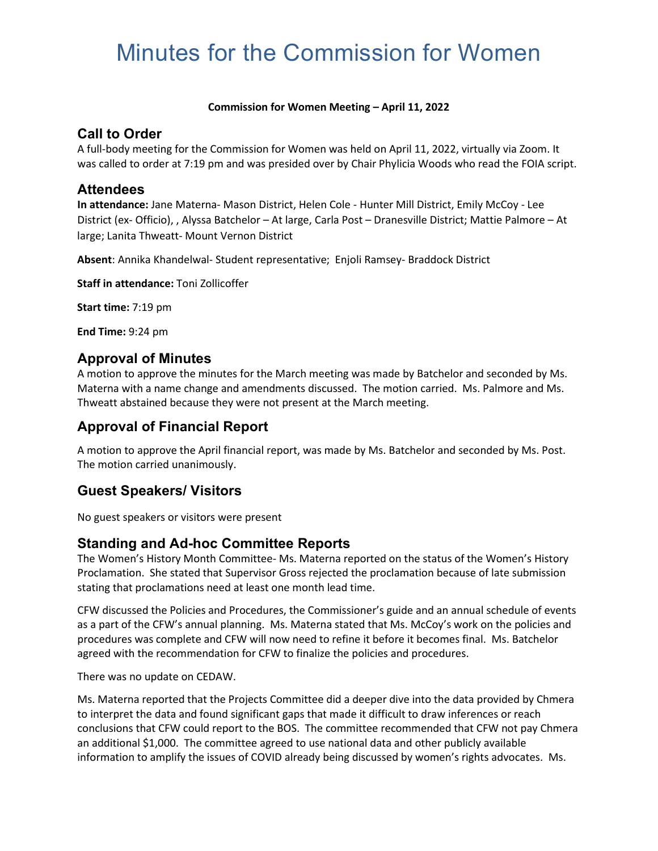# Minutes for the Commission for Women

#### **Commission for Women Meeting – April 11, 2022**

#### **Call to Order**

A full-body meeting for the Commission for Women was held on April 11, 2022, virtually via Zoom. It was called to order at 7:19 pm and was presided over by Chair Phylicia Woods who read the FOIA script.

#### **Attendees**

**In attendance:** Jane Materna- Mason District, Helen Cole - Hunter Mill District, Emily McCoy - Lee District (ex- Officio), , Alyssa Batchelor – At large, Carla Post – Dranesville District; Mattie Palmore – At large; Lanita Thweatt- Mount Vernon District

**Absent**: Annika Khandelwal- Student representative; Enjoli Ramsey- Braddock District

**Staff in attendance:** Toni Zollicoffer

**Start time:** 7:19 pm

**End Time:** 9:24 pm

### **Approval of Minutes**

A motion to approve the minutes for the March meeting was made by Batchelor and seconded by Ms. Materna with a name change and amendments discussed. The motion carried. Ms. Palmore and Ms. Thweatt abstained because they were not present at the March meeting.

### **Approval of Financial Report**

A motion to approve the April financial report, was made by Ms. Batchelor and seconded by Ms. Post. The motion carried unanimously.

# **Guest Speakers/ Visitors**

No guest speakers or visitors were present

### **Standing and Ad-hoc Committee Reports**

The Women's History Month Committee- Ms. Materna reported on the status of the Women's History Proclamation. She stated that Supervisor Gross rejected the proclamation because of late submission stating that proclamations need at least one month lead time.

CFW discussed the Policies and Procedures, the Commissioner's guide and an annual schedule of events as a part of the CFW's annual planning. Ms. Materna stated that Ms. McCoy's work on the policies and procedures was complete and CFW will now need to refine it before it becomes final. Ms. Batchelor agreed with the recommendation for CFW to finalize the policies and procedures.

There was no update on CEDAW.

Ms. Materna reported that the Projects Committee did a deeper dive into the data provided by Chmera to interpret the data and found significant gaps that made it difficult to draw inferences or reach conclusions that CFW could report to the BOS. The committee recommended that CFW not pay Chmera an additional \$1,000. The committee agreed to use national data and other publicly available information to amplify the issues of COVID already being discussed by women's rights advocates. Ms.